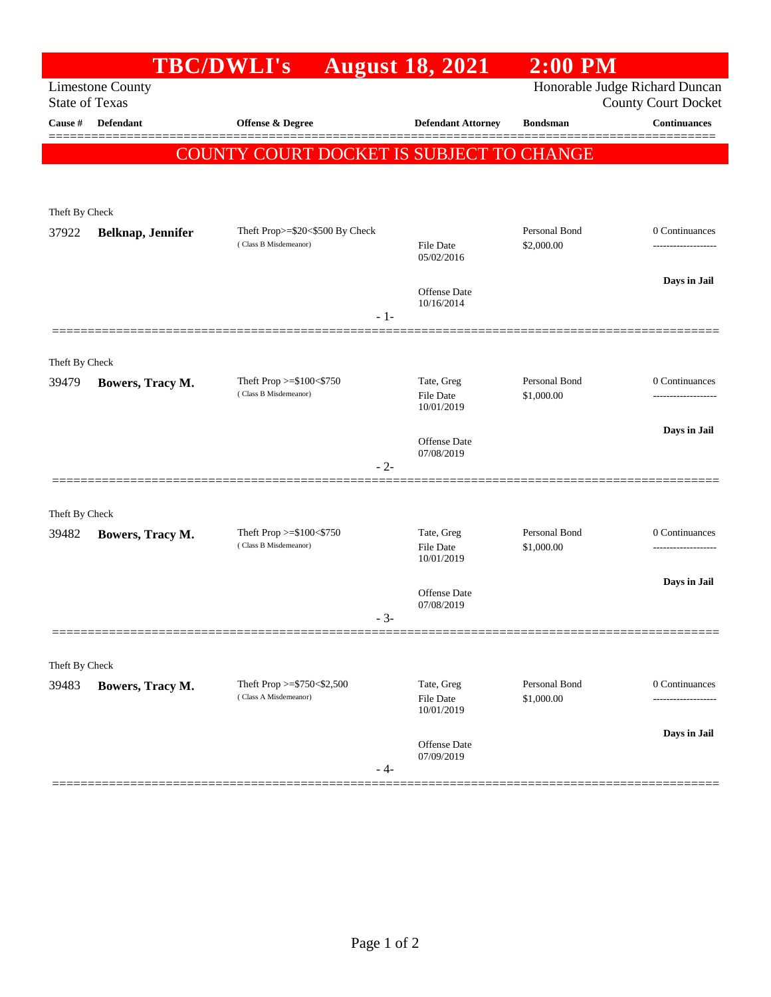|                       |                                            | <b>TBC/DWLI's</b>                                            | <b>August 18, 2021</b>         | $2:00$ PM                   |                 |
|-----------------------|--------------------------------------------|--------------------------------------------------------------|--------------------------------|-----------------------------|-----------------|
| <b>State of Texas</b> | <b>Limestone County</b>                    | Honorable Judge Richard Duncan<br><b>County Court Docket</b> |                                |                             |                 |
| Cause #               | Defendant                                  | Offense & Degree                                             | <b>Defendant Attorney</b>      | <b>Bondsman</b>             | Continuances    |
|                       |                                            | COUNTY COURT DOCKET IS SUBJECT TO CHANGE                     |                                |                             |                 |
|                       |                                            |                                                              |                                |                             |                 |
| Theft By Check        |                                            |                                                              |                                |                             |                 |
| 37922                 | Belknap, Jennifer<br>(Class B Misdemeanor) | Theft Prop>=\$20<\$500 By Check                              |                                | Personal Bond<br>\$2,000.00 | 0 Continuances  |
|                       |                                            |                                                              | <b>File Date</b><br>05/02/2016 |                             | --------------- |
|                       |                                            |                                                              |                                |                             | Days in Jail    |
|                       |                                            |                                                              | Offense Date<br>10/16/2014     |                             |                 |
|                       |                                            |                                                              | $-1-$                          |                             |                 |
|                       |                                            |                                                              |                                |                             |                 |
| Theft By Check        |                                            |                                                              |                                |                             |                 |
| 39479                 | Bowers, Tracy M.                           | Theft Prop $>= $100 < $750$<br>(Class B Misdemeanor)         | Tate, Greg<br>File Date        | Personal Bond<br>\$1,000.00 | 0 Continuances  |
|                       |                                            |                                                              | 10/01/2019                     |                             |                 |
|                       |                                            |                                                              | Offense Date                   |                             | Days in Jail    |
|                       |                                            |                                                              | 07/08/2019<br>$-2-$            |                             |                 |
|                       |                                            |                                                              |                                |                             |                 |
| Theft By Check        |                                            |                                                              |                                |                             |                 |
| 39482                 | Bowers, Tracy M.                           | Theft Prop $>=$ \$100 $<$ \$750<br>(Class B Misdemeanor)     | Tate, Greg<br><b>File Date</b> | Personal Bond<br>\$1,000.00 | 0 Continuances  |
|                       |                                            |                                                              | 10/01/2019                     |                             |                 |
|                       |                                            |                                                              | Offense Date                   |                             | Days in Jail    |
|                       |                                            |                                                              | 07/08/2019<br>- 3-             |                             |                 |
|                       |                                            |                                                              |                                |                             |                 |
| Theft By Check        |                                            |                                                              |                                |                             |                 |
| 39483                 | Bowers, Tracy M.                           | Theft Prop >=\$750<\$2,500<br>(Class A Misdemeanor)          | Tate, Greg                     | Personal Bond               | 0 Continuances  |
|                       |                                            |                                                              | File Date<br>10/01/2019        | \$1,000.00                  |                 |
|                       |                                            |                                                              |                                |                             | Days in Jail    |
|                       |                                            |                                                              | Offense Date<br>07/09/2019     |                             |                 |
|                       |                                            |                                                              | $-4-$                          |                             |                 |